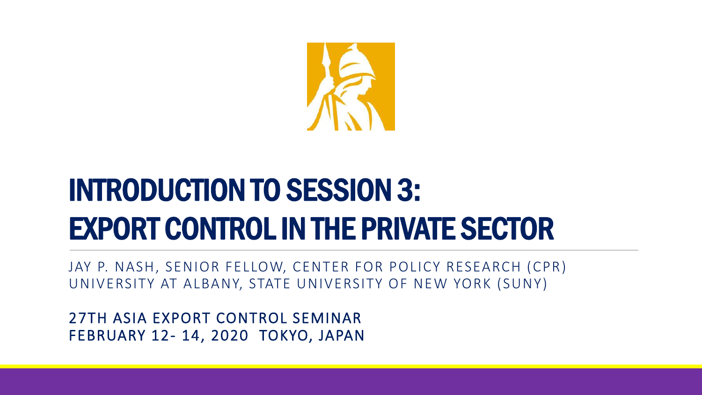

# INTRODUCTION TO SESSION 3: EXPORT CONTROL IN THE PRIVATE SECTOR

JAY P. NASH, SENIOR FELLOW, CENTER FOR POLICY RESEARCH (CPR) UNIVERSITY AT ALBANY, STATE UNIVERSITY OF NEW YORK (SUNY)

27TH ASIA EXPORT CONTROL SEMINAR FEBRUARY 12- 14, 2020 TOKYO, JAPAN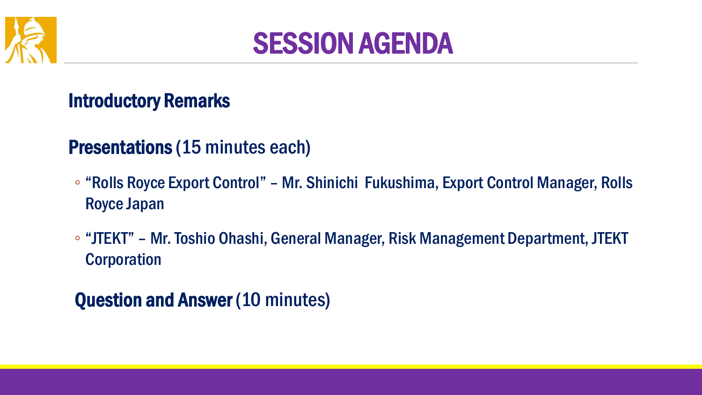



#### Introductory Remarks

### Presentations (15 minutes each)

- "Rolls Royce Export Control" Mr. Shinichi Fukushima, Export Control Manager, Rolls Royce Japan
- "JTEKT" Mr. Toshio Ohashi, General Manager, Risk Management Department, JTEKT **Corporation**

Question and Answer (10 minutes)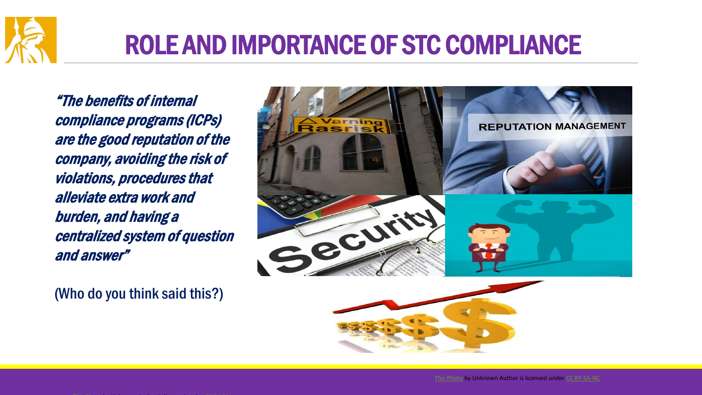

### ROLE AND IMPORTANCE OF STC COMPLIANCE

"The benefits of internal compliance programs (ICPs) are the good reputation of the company, avoiding the risk of violations, procedures that alleviate extra work and burden, and having a centralized system of question and answer"

(Who do you think said this?)



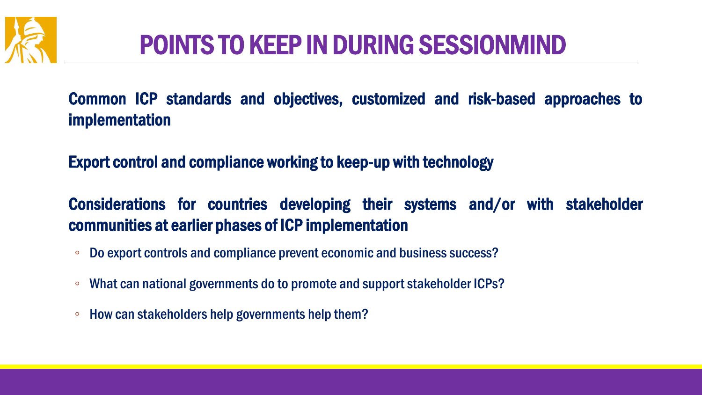

## POINTS TO KEEP IN DURING SESSIONMIND

Common ICP standards and objectives, customized and risk-based approaches to implementation

Export control and compliance working to keep-up with technology

Considerations for countries developing their systems and/or with stakeholder communities at earlier phases of ICP implementation

- Do export controls and compliance prevent economic and business success?
- What can national governments do to promote and support stakeholder ICPs?
- How can stakeholders help governments help them?